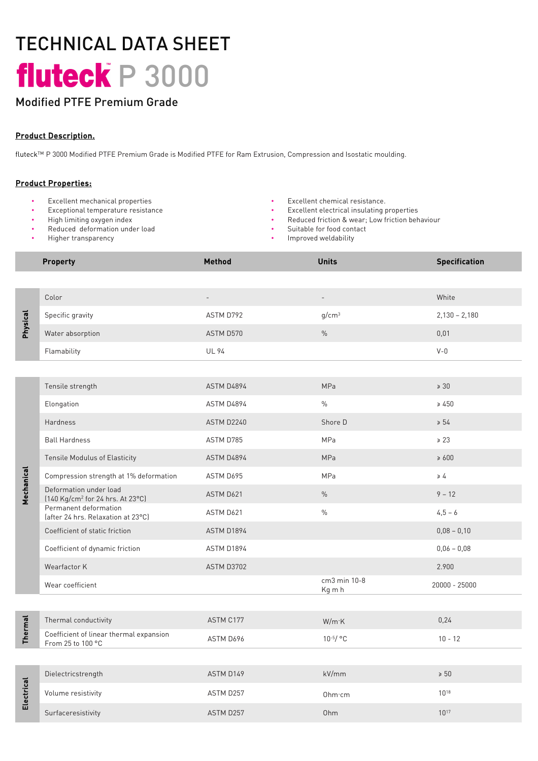# TECHNICAL DATA SHEET fluteck P 3000

# Modified PTFE Premium Grade

### Product Description.

fluteckTM P 3000 Modified PTFE Premium Grade is Modified PTFE for Ram Extrusion, Compression and Isostatic moulding.

#### Product Properties:

- Excellent mechanical properties Excellent chemical resistance.
- 
- High limiting oxygen index
- Reduced deformation under load • Higher transparency
- 
- Exceptional temperature resistance Excellent electrical insulating properties
	- Reduced friction & wear; Low friction behaviour
	- Suitable for food contact
	- Improved weldability

|                | <b>Property</b>                                                        | <b>Method</b> | <b>Units</b>           | <b>Specification</b> |
|----------------|------------------------------------------------------------------------|---------------|------------------------|----------------------|
|                |                                                                        |               |                        |                      |
| Physical       | Color                                                                  |               |                        | White                |
|                | Specific gravity                                                       | ASTM D792     | g/cm <sup>3</sup>      | $2,130 - 2,180$      |
|                | Water absorption                                                       | ASTM D570     | $\frac{0}{0}$          | 0,01                 |
|                | Flamability                                                            | <b>UL 94</b>  |                        | $V - 0$              |
|                |                                                                        |               |                        |                      |
| Mechanical     | Tensile strength                                                       | ASTM D4894    | <b>MPa</b>             | $\geqslant$ 30       |
|                | Elongation                                                             | ASTM D4894    | $\frac{0}{0}$          | $\geq 450$           |
|                | <b>Hardness</b>                                                        | ASTM D2240    | Shore D                | $\geq 54$            |
|                | <b>Ball Hardness</b>                                                   | ASTM D785     | MPa                    | $\ge 23$             |
|                | <b>Tensile Modulus of Elasticity</b>                                   | ASTM D4894    | <b>MPa</b>             | $\geq 600$           |
|                | Compression strength at 1% deformation                                 | ASTM D695     | MPa                    | $\geq 4$             |
|                | Deformation under load<br>[140 Kg/cm <sup>2</sup> for 24 hrs. At 23°C] | ASTM D621     | $\%$                   | $9 - 12$             |
|                | Permanent deformation<br>(after 24 hrs. Relaxation at 23°C)            | ASTM D621     | $\%$                   | $4,5 - 6$            |
|                | Coefficient of static friction                                         | ASTM D1894    |                        | $0,08 - 0,10$        |
|                | Coefficient of dynamic friction                                        | ASTM D1894    |                        | $0,06 - 0,08$        |
|                | Wearfactor K                                                           | ASTM D3702    |                        | 2.900                |
|                | Wear coefficient                                                       |               | cm3 min 10-8<br>Kg m h | 20000 - 25000        |
|                |                                                                        |               |                        |                      |
| <b>Thermal</b> | Thermal conductivity                                                   | ASTM C177     | W/m·K                  | 0,24                 |
|                | Coefficient of linear thermal expansion<br>From 25 to 100 °C           | ASTM D696     | $10^{-5}/$ °C          | $10 - 12$            |
|                |                                                                        |               |                        |                      |
| Electrical     | Dielectricstrength                                                     | ASTM D149     | kV/mm                  | $\geq 50$            |
|                | Volume resistivity                                                     | ASTM D257     | Ohm·cm                 | $10^{18}$            |
|                | Surfaceresistivity                                                     | ASTM D257     | Ohm                    | $10^{17}$            |
|                |                                                                        |               |                        |                      |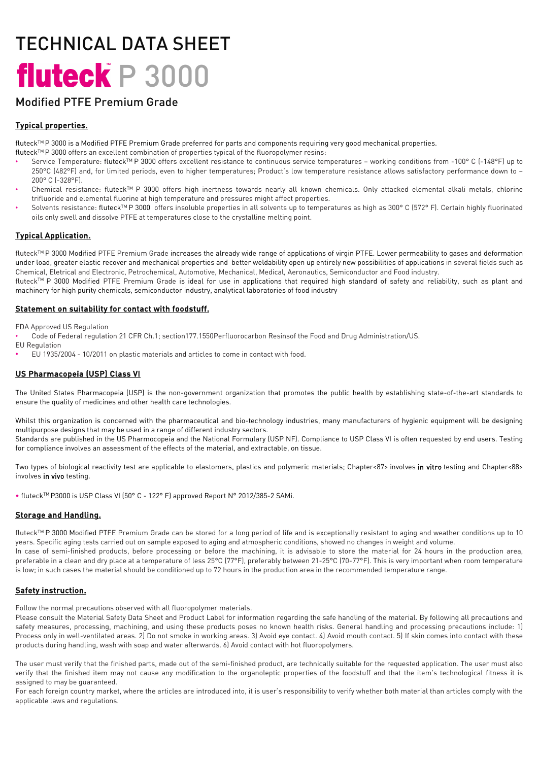# TECHNICAL DATA SHEET fluteck P 3000

# Modified PTFE Premium Grade

## Typical properties.

fluteck<sup>TM</sup>P 3000 is a Modified PTFE Premium Grade preferred for parts and components requiring very good mechanical properties.

- fluteckTM P 3000 offers an excellent combination of properties typical of the fluoropolymer resins:
- Service Temperature: fluteckTM P 3000 offers excellent resistance to continuous service temperatures working conditions from -100° C (-148°F) up to 250°C (482°F) and, for limited periods, even to higher temperatures; Product's low temperature resistance allows satisfactory performance down to – 200° C (-328°F).
- Chemical resistance: fluteck™ P 3000 offers high inertness towards nearly all known chemicals. Only attacked elemental alkali metals, chlorine trifluoride and elemental fluorine at high temperature and pressures might affect properties.
- Solvents resistance: fluteck<sup>TM</sup> P 3000 offers insoluble properties in all solvents up to temperatures as high as 300° C (572° F). Certain highly fluorinated oils only swell and dissolve PTFE at temperatures close to the crystalline melting point.

## Typical Application.

fluteck<sup>TM</sup> P 3000 Modified PTFE Premium Grade increases the already wide range of applications of virgin PTFE. Lower permeability to gases and deformation under load, greater elastic recover and mechanical properties and better weldability open up entirely new possibilities of applications in several fields such as Chemical, Eletrical and Electronic, Petrochemical, Automotive, Mechanical, Medical, Aeronautics, Semiconductor and Food industry.

fluteck<sup>TM</sup> P 3000 Modified PTFE Premium Grade is ideal for use in applications that required high standard of safety and reliability, such as plant and machinery for high purity chemicals, semiconductor industry, analytical laboratories of food industry

#### Statement on suitability for contact with foodstuff.

FDA Approved US Regulation

- Code of Federal regulation 21 CFR Ch.1; section177.1550Perfluorocarbon Resinsof the Food and Drug Administration/US.
- EU Regulation
- EU 1935/2004 10/2011 on plastic materials and articles to come in contact with food.

## US Pharmacopeia (USP) Class VI

The United States Pharmacopeia (USP) is the non-government organization that promotes the public health by establishing state-of-the-art standards to ensure the quality of medicines and other health care technologies.

Whilst this organization is concerned with the pharmaceutical and bio-technology industries, many manufacturers of hygienic equipment will be designing multipurpose designs that may be used in a range of different industry sectors.

Standards are published in the US Pharmocopeia and the National Formulary (USP NF). Compliance to USP Class VI is often requested by end users. Testing for compliance involves an assessment of the effects of the material, and extractable, on tissue.

Two types of biological reactivity test are applicable to elastomers, plastics and polymeric materials; Chapter<87> involves in vitro testing and Chapter<88> involves in vivo testing.

• fluteckTM P3000 is USP Class VI (50° C - 122° F) approved Report N° 2012/385-2 SAMi.

### Storage and Handling.

fluteck<sup>TM</sup> P 3000 Modified PTFE Premium Grade can be stored for a long period of life and is exceptionally resistant to aging and weather conditions up to 10 years. Specific aging tests carried out on sample exposed to aging and atmospheric conditions, showed no changes in weight and volume. In case of semi-finished products, before processing or before the machining, it is advisable to store the material for 24 hours in the production area, preferable in a clean and dry place at a temperature of less 25°C (77°F), preferably between 21-25°C (70-77°F). This is very important when room temperature is low; in such cases the material should be conditioned up to 72 hours in the production area in the recommended temperature range.

### Safety instruction.

Follow the normal precautions observed with all fluoropolymer materials.

Please consult the Material Safety Data Sheet and Product Label for information regarding the safe handling of the material. By following all precautions and safety measures, processing, machining, and using these products poses no known health risks. General handling and processing precautions include: 1) Process only in well-ventilated areas. 2) Do not smoke in working areas. 3) Avoid eye contact. 4) Avoid mouth contact. 5) If skin comes into contact with these products during handling, wash with soap and water afterwards. 6) Avoid contact with hot fluoropolymers.

The user must verify that the finished parts, made out of the semi-finished product, are technically suitable for the requested application. The user must also verify that the finished item may not cause any modification to the organoleptic properties of the foodstuff and that the item's technological fitness it is assigned to may be guaranteed.

For each foreign country market, where the articles are introduced into, it is user's responsibility to verify whether both material than articles comply with the applicable laws and regulations.